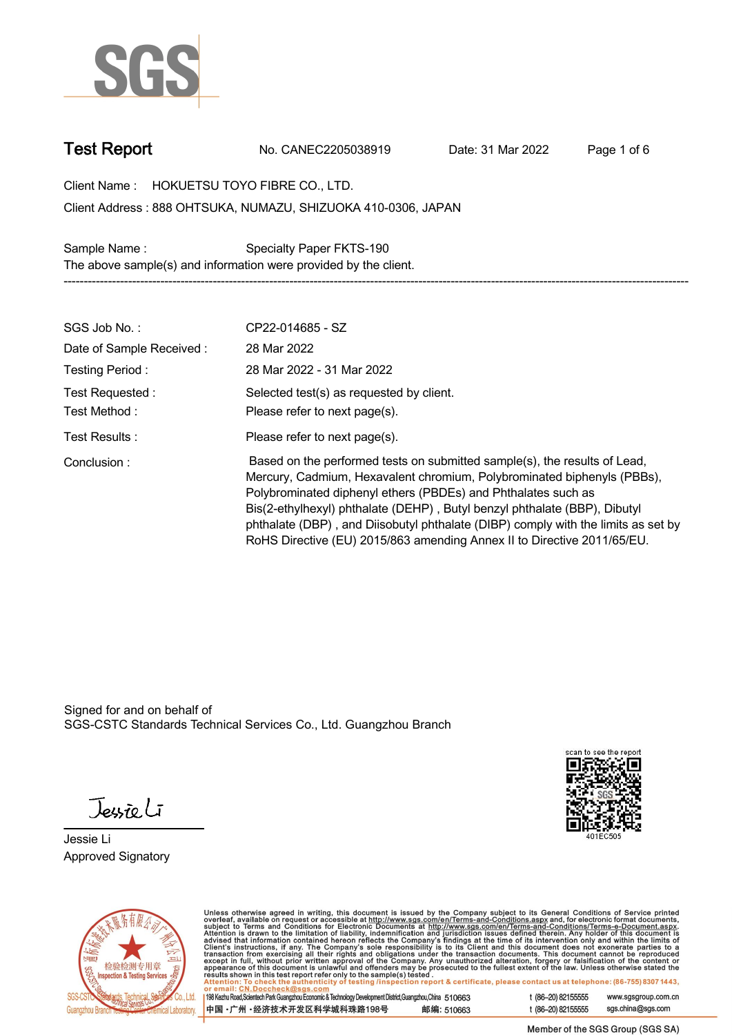

**Test Report. No. CANEC2205038919 . Date: 31 Mar 2022 . Page 1 of 6.**

**Client Name : HOKUETSU TOYO FIBRE CO., LTD. .**

**888 OHTSUKA, NUMAZU, SHIZUOKA 410-0306, JAPAN . Client Address :**

**Sample Name : Specialty Paper FKTS-190 . The above sample(s) and information were provided by the client. -----------------------------------------------------------------------------------------------------------------------------------------------------------**

| SGS Job No.:                      | CP22-014685 - SZ                                                                                                                                                                                                                                                                                                                                                                                                                                                   |
|-----------------------------------|--------------------------------------------------------------------------------------------------------------------------------------------------------------------------------------------------------------------------------------------------------------------------------------------------------------------------------------------------------------------------------------------------------------------------------------------------------------------|
| Date of Sample Received:          | 28 Mar 2022                                                                                                                                                                                                                                                                                                                                                                                                                                                        |
| Testing Period:                   | 28 Mar 2022 - 31 Mar 2022                                                                                                                                                                                                                                                                                                                                                                                                                                          |
| Test Requested :<br>Test Method : | Selected test(s) as requested by client.<br>Please refer to next page(s).                                                                                                                                                                                                                                                                                                                                                                                          |
| Test Results :                    | Please refer to next page(s).                                                                                                                                                                                                                                                                                                                                                                                                                                      |
| Conclusion:                       | Based on the performed tests on submitted sample(s), the results of Lead,<br>Mercury, Cadmium, Hexavalent chromium, Polybrominated biphenyls (PBBs),<br>Polybrominated diphenyl ethers (PBDEs) and Phthalates such as<br>Bis(2-ethylhexyl) phthalate (DEHP), Butyl benzyl phthalate (BBP), Dibutyl<br>phthalate (DBP), and Diisobutyl phthalate (DIBP) comply with the limits as set by<br>RoHS Directive (EU) 2015/863 amending Annex II to Directive 2011/65/EU. |

Signed for and on behalf of SGS-CSTC Standards Technical Services Co., Ltd. Guangzhou Branch.

Jessieli

**Jessie Li. Approved Signatory .**





Unless otherwise agreed in writing, this document is issued by the Company subject to its General Conditions of Service printed<br>overleaf, available on request or accessible at http://www.sgs.com/en/Terms-and-Conditions.as

| 198 Kezhu Road,Scientech Park Guangzhou Economic & Technology Development District,Guangzhou,China 510663 |  |            |
|-----------------------------------------------------------------------------------------------------------|--|------------|
| 中国 •广州 •经济技术开发区科学城科珠路198号 ;                                                                               |  | 邮编: 510663 |

t (86-20) 82155555 www.sgsgroup.com.cn sgs.china@sgs.com t (86-20) 82155555

Member of the SGS Group (SGS SA)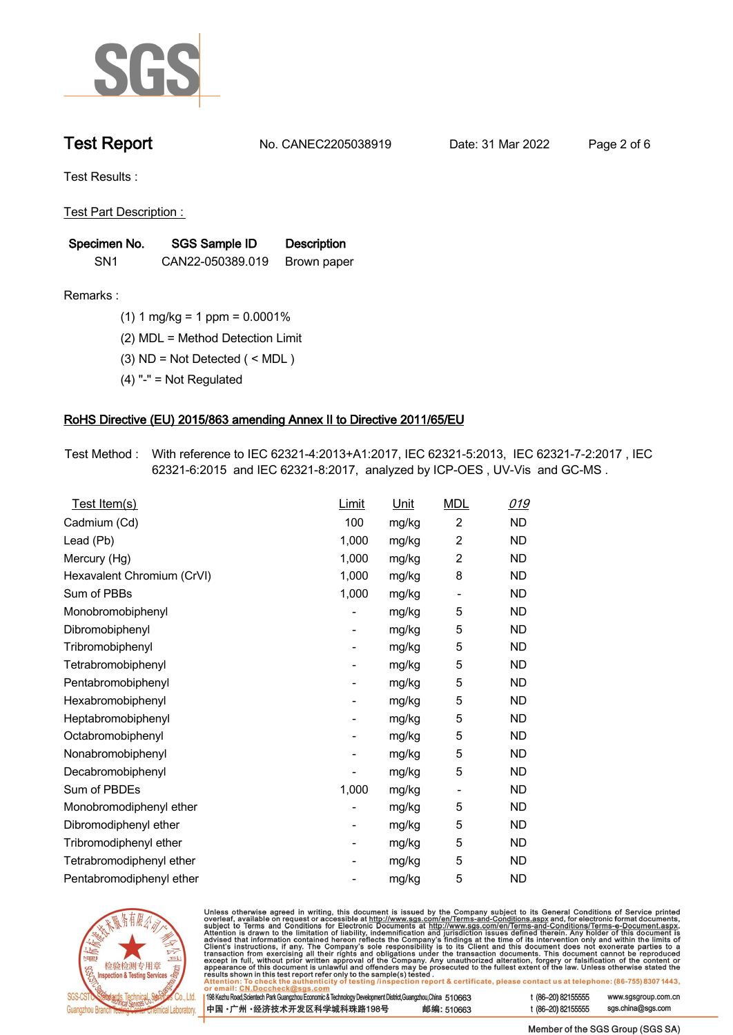

**Test Report. No. CANEC2205038919 . Date: 31 Mar 2022 . Page 2 of 6.**

**Test Results :.**

**Test Part Description : .**

| Specimen No.    | SGS Sample ID    | <b>Description</b> |  |
|-----------------|------------------|--------------------|--|
| SN <sub>1</sub> | CAN22-050389.019 | Brown paper        |  |

- **Remarks :.(1) 1 mg/kg = 1 ppm = 0.0001% .**
	- **(2) MDL = Method Detection Limit .**
	- **(3) ND = Not Detected ( < MDL ) .**
	- **(4) "-" = Not Regulated .**

## **RoHS Directive (EU) 2015/863 amending Annex II to Directive 2011/65/EU.**

**Test Method :. With reference to IEC 62321-4:2013+A1:2017, IEC 62321-5:2013, IEC 62321-7-2:2017 , IEC 62321-6:2015 and IEC 62321-8:2017, analyzed by ICP-OES , UV-Vis and GC-MS . .**

| Test Item(s)               | <b>Limit</b> | <u>Unit</u> | <b>MDL</b>                   | <u>019</u> |
|----------------------------|--------------|-------------|------------------------------|------------|
| Cadmium (Cd)               | 100          | mg/kg       | $\overline{2}$               | <b>ND</b>  |
| Lead (Pb)                  | 1,000        | mg/kg       | $\overline{2}$               | <b>ND</b>  |
| Mercury (Hg)               | 1,000        | mg/kg       | $\overline{2}$               | <b>ND</b>  |
| Hexavalent Chromium (CrVI) | 1,000        | mg/kg       | 8                            | <b>ND</b>  |
| Sum of PBBs                | 1,000        | mg/kg       | $\overline{\phantom{0}}$     | <b>ND</b>  |
| Monobromobiphenyl          |              | mg/kg       | 5                            | <b>ND</b>  |
| Dibromobiphenyl            | -            | mg/kg       | 5                            | <b>ND</b>  |
| Tribromobiphenyl           | -            | mg/kg       | 5                            | <b>ND</b>  |
| Tetrabromobiphenyl         |              | mg/kg       | 5                            | <b>ND</b>  |
| Pentabromobiphenyl         | -            | mg/kg       | 5                            | <b>ND</b>  |
| Hexabromobiphenyl          |              | mg/kg       | 5                            | <b>ND</b>  |
| Heptabromobiphenyl         |              | mg/kg       | 5                            | <b>ND</b>  |
| Octabromobiphenyl          | -            | mg/kg       | 5                            | <b>ND</b>  |
| Nonabromobiphenyl          |              | mg/kg       | 5                            | <b>ND</b>  |
| Decabromobiphenyl          |              | mg/kg       | 5                            | <b>ND</b>  |
| Sum of PBDEs               | 1,000        | mg/kg       | $\qquad \qquad \blacksquare$ | <b>ND</b>  |
| Monobromodiphenyl ether    |              | mg/kg       | 5                            | <b>ND</b>  |
| Dibromodiphenyl ether      |              | mg/kg       | 5                            | <b>ND</b>  |
| Tribromodiphenyl ether     | -            | mg/kg       | 5                            | <b>ND</b>  |
| Tetrabromodiphenyl ether   |              | mg/kg       | 5                            | <b>ND</b>  |
| Pentabromodiphenyl ether   |              | mg/kg       | 5                            | <b>ND</b>  |



Unless otherwise agreed in writing, this document is issued by the Company subject to its General Conditions of Service printed overleaf, available on request or accessible at http://www.sgs.com/en/Terms-and-Conditions.as

| or email: CN.DOCCHECK@sgs.com                                                                              |            |                    |                     |
|------------------------------------------------------------------------------------------------------------|------------|--------------------|---------------------|
| 198 Kezhu Road,Scientech Park Guangzhou Economic & Technology Development District,Guangzhou,China 51 0663 |            | t (86-20) 82155555 | www.sgsgroup.com.cl |
| ┃中国 •广州 •经济技术开发区科学城科珠路198号 ↓                                                                               | 邮编: 510663 | t (86-20) 82155555 | sgs.china@sgs.com   |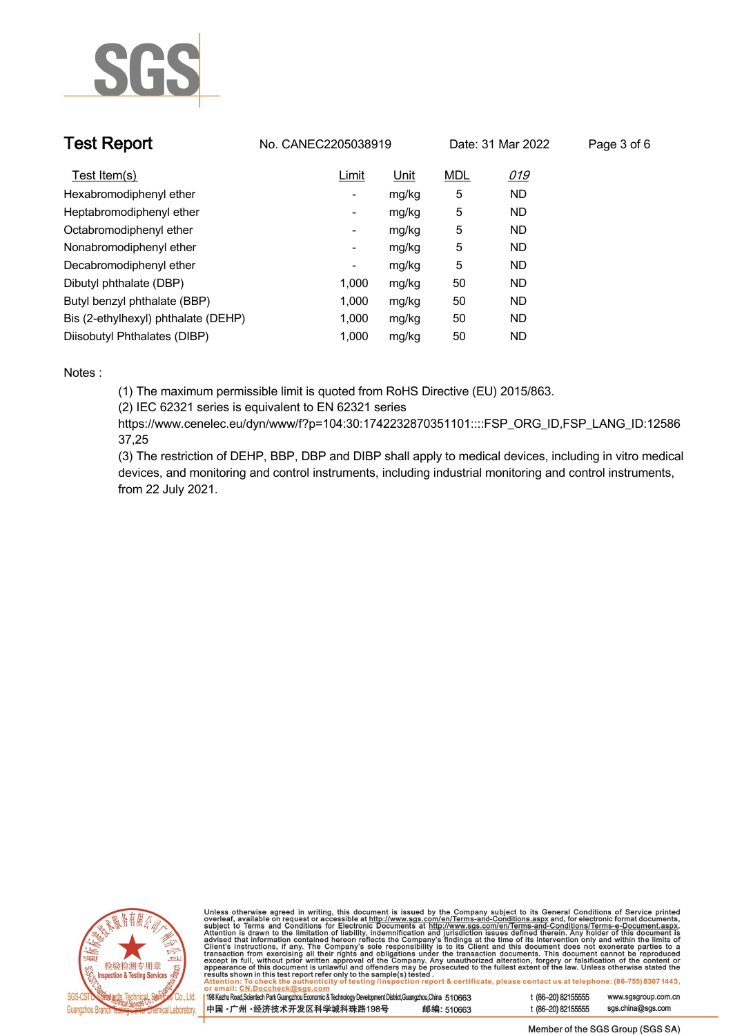

| <b>Test Report</b>                  | No. CANEC2205038919      |       |            | Date: 31 Mar 2022 | Page 3 of 6 |
|-------------------------------------|--------------------------|-------|------------|-------------------|-------------|
| Test Item(s)                        | Limit                    | Unit  | <b>MDL</b> | <u>019</u>        |             |
| Hexabromodiphenyl ether             | Ξ.                       | mg/kg | 5          | <b>ND</b>         |             |
| Heptabromodiphenyl ether            | -                        | mg/kg | 5          | <b>ND</b>         |             |
| Octabromodiphenyl ether             | -                        | mg/kg | 5          | <b>ND</b>         |             |
| Nonabromodiphenyl ether             | $\overline{\phantom{a}}$ | mg/kg | 5          | <b>ND</b>         |             |
| Decabromodiphenyl ether             | ٠                        | mg/kg | 5          | <b>ND</b>         |             |
| Dibutyl phthalate (DBP)             | 1.000                    | mg/kg | 50         | ND                |             |
| Butyl benzyl phthalate (BBP)        | 1.000                    | mg/kg | 50         | ND                |             |
| Bis (2-ethylhexyl) phthalate (DEHP) | 1.000                    | mg/kg | 50         | <b>ND</b>         |             |
| Diisobutyl Phthalates (DIBP)        | 1.000                    | mg/kg | 50         | <b>ND</b>         |             |

### **Notes :.**

**(1) The maximum permissible limit is quoted from RoHS Directive (EU) 2015/863.**

**(2) IEC 62321 series is equivalent to EN 62321 series**

**https://www.cenelec.eu/dyn/www/f?p=104:30:1742232870351101::::FSP\_ORG\_ID,FSP\_LANG\_ID:12586 37,25**

**(3) The restriction of DEHP, BBP, DBP and DIBP shall apply to medical devices, including in vitro medical devices, and monitoring and control instruments, including industrial monitoring and control instruments, from 22 July 2021..**



Unless otherwise agreed in writing, this document is issued by the Company subject to its General Conditions of Service printed<br>overleaf, available on request or accessible at http://www.sgs.com/en/Terms-and-Conditions.as

| 198 Kezhu Road,Scientech Park Guangzhou Economic & Technology Development District,Guangzhou,China 510663 |            |  |
|-----------------------------------------------------------------------------------------------------------|------------|--|
| 中国 ·广州 ·经济技术开发区科学城科珠路198号                                                                                 | 邮编: 510663 |  |

www.sgsgroup.com.cn

t (86-20) 82155555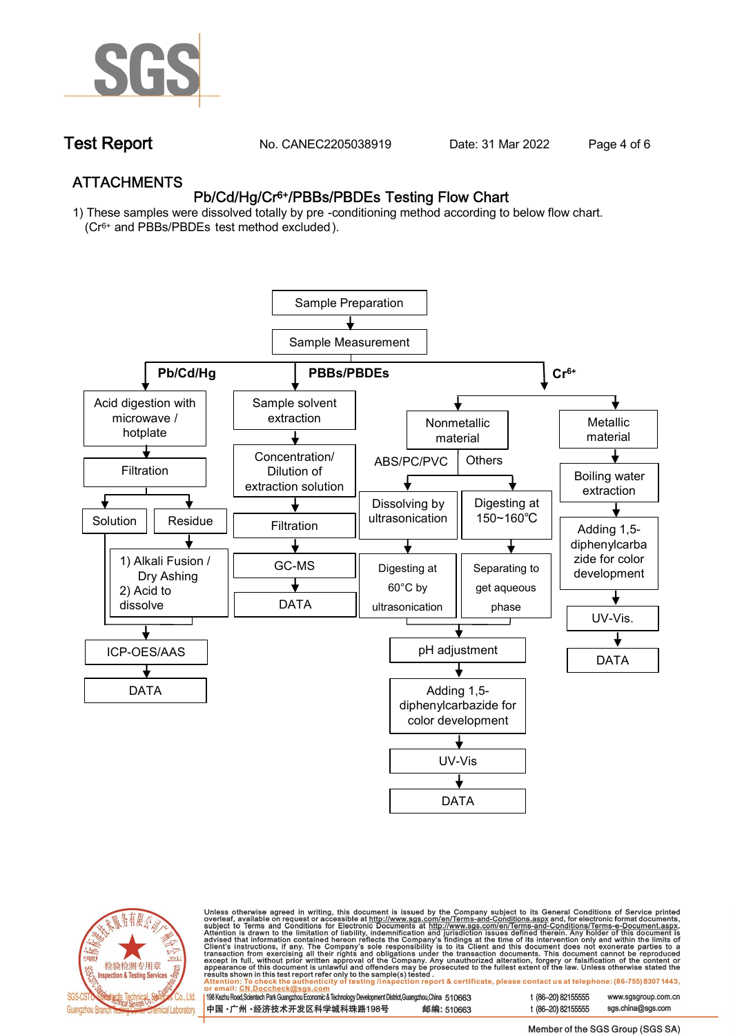

**Test Report. No. CANEC2205038919 . Date: 31 Mar 2022 . Page 4 of 6.**

## **ATTACHMENTS Pb/Cd/Hg/Cr6+/PBBs/PBDEs Testing Flow Chart**

**1) These samples were dissolved totally by pre -conditioning method according to below flow chart. (Cr6+ and PBBs/PBDEs test method excluded ).**





Unless otherwise agreed in writing, this document is issued by the Company subject to its General Conditions of Service printed<br>overleaf, available on request or accessible at http://www.sgs.com/en/Terms-and-Conditions.as

| 198 Kezhu Road,Scientech Park Guangzhou Economic & Technology Development District,Guangzhou,China 510663 |            |
|-----------------------------------------------------------------------------------------------------------|------------|
| 中国 •广州 •经济技术开发区科学城科珠路198号                                                                                 | 邮编: 510663 |

t (86-20) 82155555 www.sgsgroup.com.cn t (86-20) 82155555 sas.china@sas.com

Member of the SGS Group (SGS SA)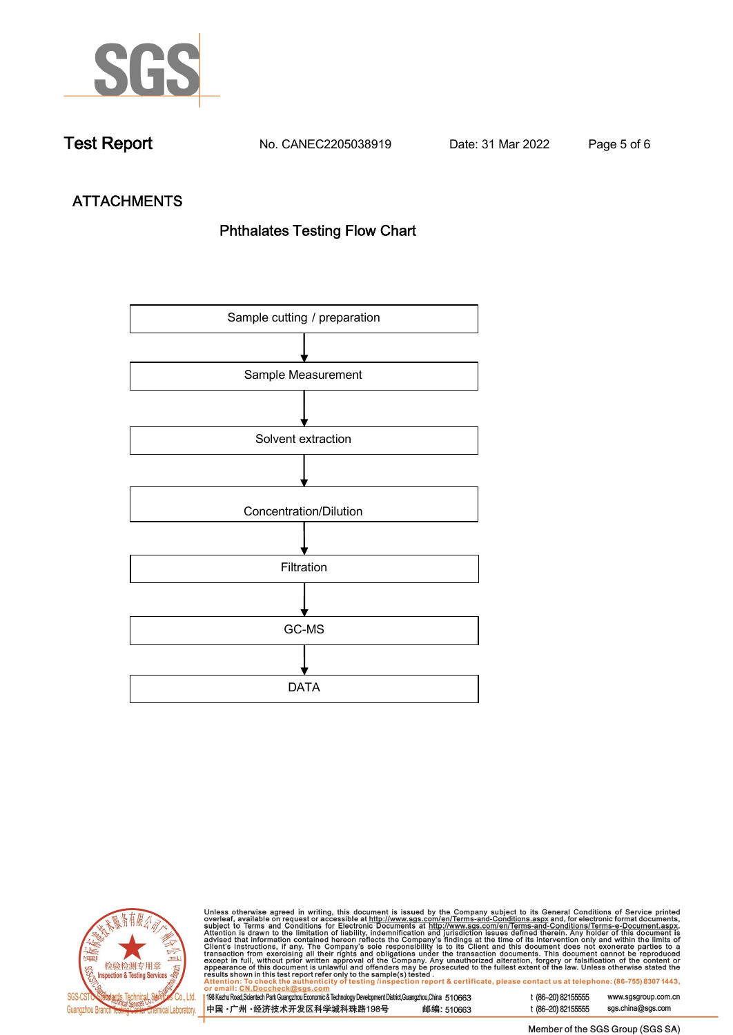

**Test Report. No. CANEC2205038919 . Date: 31 Mar 2022 . Page 5 of 6.**

# **ATTACHMENTS Phthalates Testing Flow Chart**





Unless otherwise agreed in writing, this document is issued by the Company subject to its General Conditions of Service printed overleaf, available on request or accessible at http://www.sgs.com/en/Terms-and-Conditions.as

| or email: CN.Doccheck@sus.com                                                                             |            |  |
|-----------------------------------------------------------------------------------------------------------|------------|--|
| 198 Kezhu Road,Scientech Park Guangzhou Economic & Technology Development District,Guangzhou,China 510663 |            |  |
|                                                                                                           |            |  |
|                                                                                                           |            |  |
| 中国 •广州 •经济技术开发区科学城科珠路198号                                                                                 | 邮编: 510663 |  |
|                                                                                                           |            |  |

t (86-20) 82155555 www.sgsgroup.com.cn t (86-20) 82155555 sgs.china@sgs.com